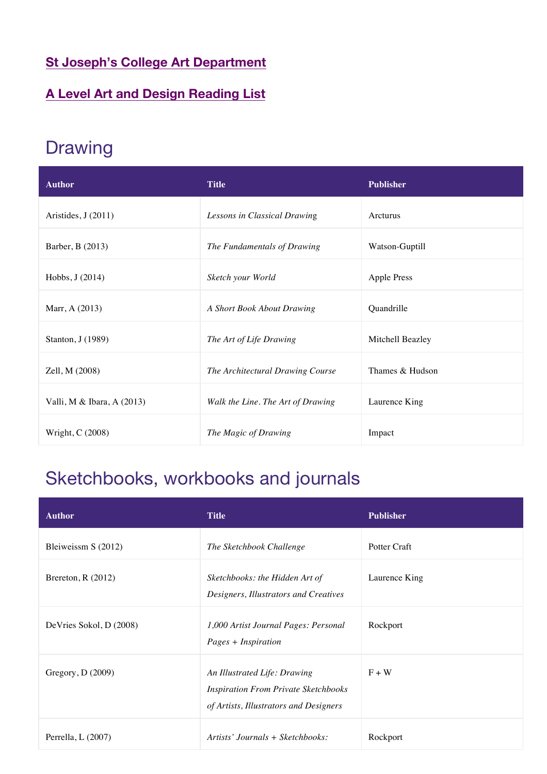### **St Joseph's College Art Department**

### **A Level Art and Design Reading List**

## Drawing

| <b>Author</b>              | <b>Title</b>                      | <b>Publisher</b>   |
|----------------------------|-----------------------------------|--------------------|
| Aristides, J (2011)        | Lessons in Classical Drawing      | Arcturus           |
| Barber, B (2013)           | The Fundamentals of Drawing       | Watson-Guptill     |
| Hobbs, J (2014)            | Sketch your World                 | <b>Apple Press</b> |
| Marr, A (2013)             | A Short Book About Drawing        | Quandrille         |
| Stanton, J (1989)          | The Art of Life Drawing           | Mitchell Beazley   |
| Zell, M (2008)             | The Architectural Drawing Course  | Thames & Hudson    |
| Valli, M & Ibara, A (2013) | Walk the Line. The Art of Drawing | Laurence King      |
| Wright, C (2008)           | The Magic of Drawing              | Impact             |

## Sketchbooks, workbooks and journals

| <b>Author</b>           | <b>Title</b>                                                                                                          | <b>Publisher</b> |
|-------------------------|-----------------------------------------------------------------------------------------------------------------------|------------------|
| Bleiweissm S (2012)     | The Sketchbook Challenge                                                                                              | Potter Craft     |
| Brereton, $R(2012)$     | Sketchbooks: the Hidden Art of<br>Designers, Illustrators and Creatives                                               | Laurence King    |
| DeVries Sokol, D (2008) | 1,000 Artist Journal Pages: Personal<br>Pages + Inspiration                                                           | Rockport         |
| Gregory, D (2009)       | An Illustrated Life: Drawing<br><b>Inspiration From Private Sketchbooks</b><br>of Artists, Illustrators and Designers | $F + W$          |
| Perrella, L (2007)      | Artists' Journals + Sketchbooks:                                                                                      | Rockport         |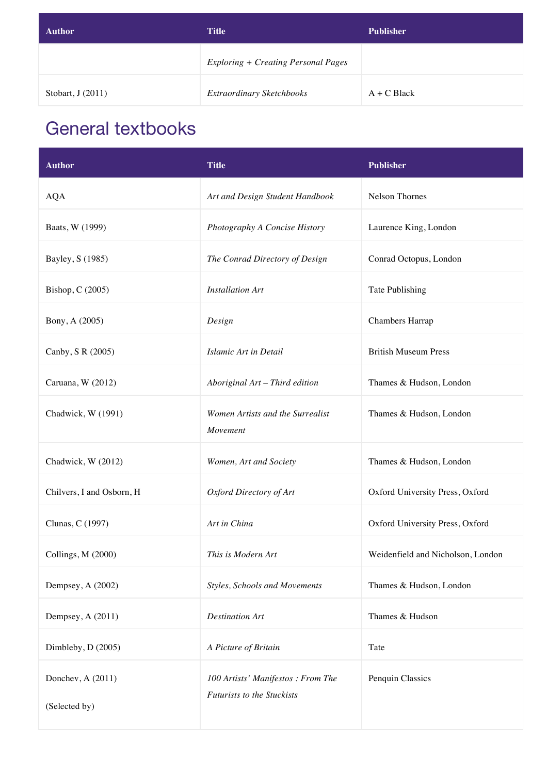| <b>Author</b>      | <b>Title</b>                               | <b>Publisher</b> |
|--------------------|--------------------------------------------|------------------|
|                    | <b>Exploring + Creating Personal Pages</b> |                  |
| Stobart, $J(2011)$ | Extraordinary Sketchbooks                  | $A + C$ Black    |

### General textbooks

| <b>Author</b>                      | <b>Title</b>                                                           | <b>Publisher</b>                  |
|------------------------------------|------------------------------------------------------------------------|-----------------------------------|
| <b>AQA</b>                         | Art and Design Student Handbook                                        | Nelson Thornes                    |
| Baats, W (1999)                    | Photography A Concise History                                          | Laurence King, London             |
| Bayley, S (1985)                   | The Conrad Directory of Design                                         | Conrad Octopus, London            |
| Bishop, C (2005)                   | <b>Installation Art</b>                                                | Tate Publishing                   |
| Bony, A (2005)                     | Design                                                                 | <b>Chambers Harrap</b>            |
| Canby, S R (2005)                  | Islamic Art in Detail                                                  | <b>British Museum Press</b>       |
| Caruana, W (2012)                  | Aboriginal Art - Third edition                                         | Thames & Hudson, London           |
| Chadwick, W (1991)                 | Women Artists and the Surrealist<br>Movement                           | Thames & Hudson, London           |
| Chadwick, W (2012)                 | Women, Art and Society                                                 | Thames & Hudson, London           |
| Chilvers, I and Osborn, H          | Oxford Directory of Art                                                | Oxford University Press, Oxford   |
| Clunas, C (1997)                   | Art in China                                                           | Oxford University Press, Oxford   |
| Collings, M (2000)                 | This is Modern Art                                                     | Weidenfield and Nicholson, London |
| Dempsey, A (2002)                  | <b>Styles, Schools and Movements</b>                                   | Thames & Hudson, London           |
| Dempsey, A (2011)                  | <b>Destination Art</b>                                                 | Thames & Hudson                   |
| Dimbleby, D (2005)                 | A Picture of Britain                                                   | Tate                              |
| Donchev, A (2011)<br>(Selected by) | 100 Artists' Manifestos: From The<br><b>Futurists to the Stuckists</b> | Penquin Classics                  |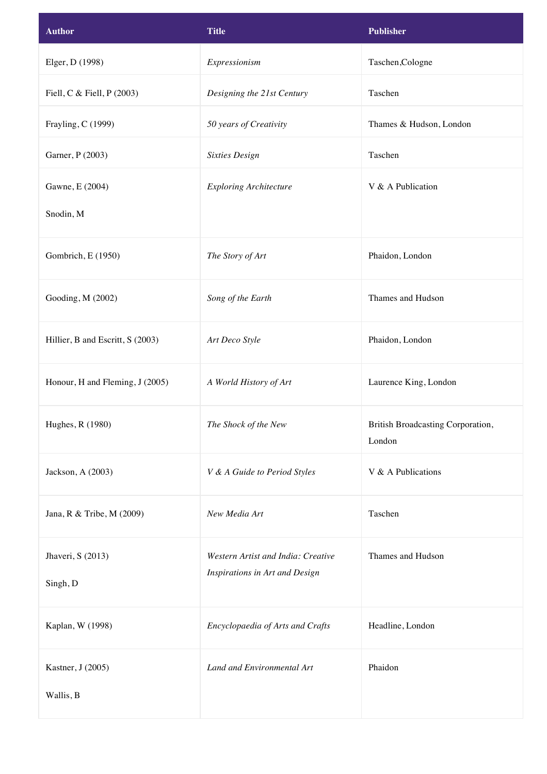| <b>Author</b>                    | <b>Title</b>                       | <b>Publisher</b>                            |
|----------------------------------|------------------------------------|---------------------------------------------|
| Elger, D (1998)                  | Expressionism                      | Taschen, Cologne                            |
| Fiell, C & Fiell, P (2003)       | Designing the 21st Century         | Taschen                                     |
| Frayling, C (1999)               | 50 years of Creativity             | Thames & Hudson, London                     |
| Garner, P (2003)                 | <b>Sixties Design</b>              | Taschen                                     |
| Gawne, E (2004)                  | <b>Exploring Architecture</b>      | V & A Publication                           |
| Snodin, M                        |                                    |                                             |
| Gombrich, E (1950)               | The Story of Art                   | Phaidon, London                             |
| Gooding, M (2002)                | Song of the Earth                  | Thames and Hudson                           |
| Hillier, B and Escritt, S (2003) | Art Deco Style                     | Phaidon, London                             |
| Honour, H and Fleming, J (2005)  | A World History of Art             | Laurence King, London                       |
| Hughes, R (1980)                 | The Shock of the New               | British Broadcasting Corporation,<br>London |
| Jackson, A (2003)                | V & A Guide to Period Styles       | V & A Publications                          |
| Jana, R & Tribe, M (2009)        | New Media Art                      | Taschen                                     |
| Jhaveri, S (2013)                | Western Artist and India: Creative | Thames and Hudson                           |
| Singh, D                         | Inspirations in Art and Design     |                                             |
| Kaplan, W (1998)                 | Encyclopaedia of Arts and Crafts   | Headline, London                            |
| Kastner, J (2005)                | Land and Environmental Art         | Phaidon                                     |
| Wallis, B                        |                                    |                                             |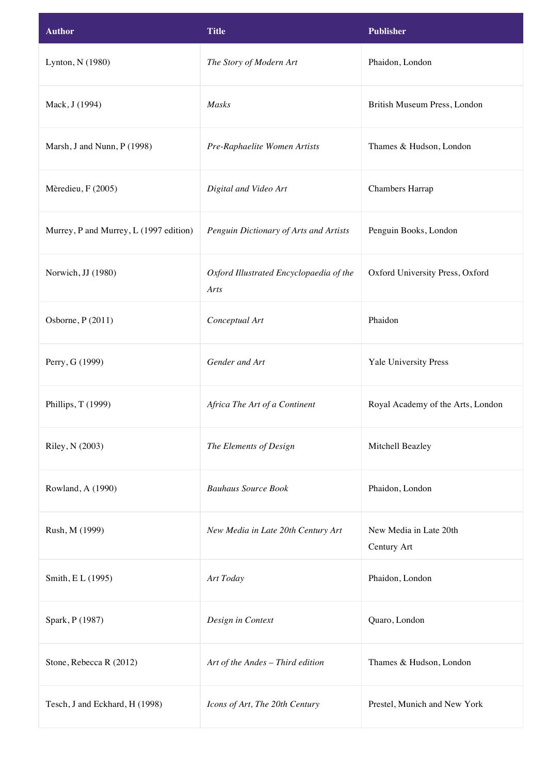| <b>Author</b>                          | <b>Title</b>                                    | <b>Publisher</b>                      |
|----------------------------------------|-------------------------------------------------|---------------------------------------|
| Lynton, N (1980)                       | The Story of Modern Art                         | Phaidon, London                       |
| Mack, J (1994)                         | Masks                                           | British Museum Press, London          |
| Marsh, J and Nunn, P (1998)            | Pre-Raphaelite Women Artists                    | Thames & Hudson, London               |
| Mèredieu, F (2005)                     | Digital and Video Art                           | Chambers Harrap                       |
| Murrey, P and Murrey, L (1997 edition) | Penguin Dictionary of Arts and Artists          | Penguin Books, London                 |
| Norwich, JJ (1980)                     | Oxford Illustrated Encyclopaedia of the<br>Arts | Oxford University Press, Oxford       |
| Osborne, P (2011)                      | Conceptual Art                                  | Phaidon                               |
| Perry, G (1999)                        | Gender and Art                                  | Yale University Press                 |
| Phillips, T (1999)                     | Africa The Art of a Continent                   | Royal Academy of the Arts, London     |
| Riley, N (2003)                        | The Elements of Design                          | Mitchell Beazley                      |
| Rowland, A (1990)                      | <b>Bauhaus Source Book</b>                      | Phaidon, London                       |
| Rush, M (1999)                         | New Media in Late 20th Century Art              | New Media in Late 20th<br>Century Art |
| Smith, EL (1995)                       | Art Today                                       | Phaidon, London                       |
| Spark, P (1987)                        | Design in Context                               | Quaro, London                         |
| Stone, Rebecca R (2012)                | Art of the Andes - Third edition                | Thames & Hudson, London               |
| Tesch, J and Eckhard, H (1998)         | Icons of Art, The 20th Century                  | Prestel, Munich and New York          |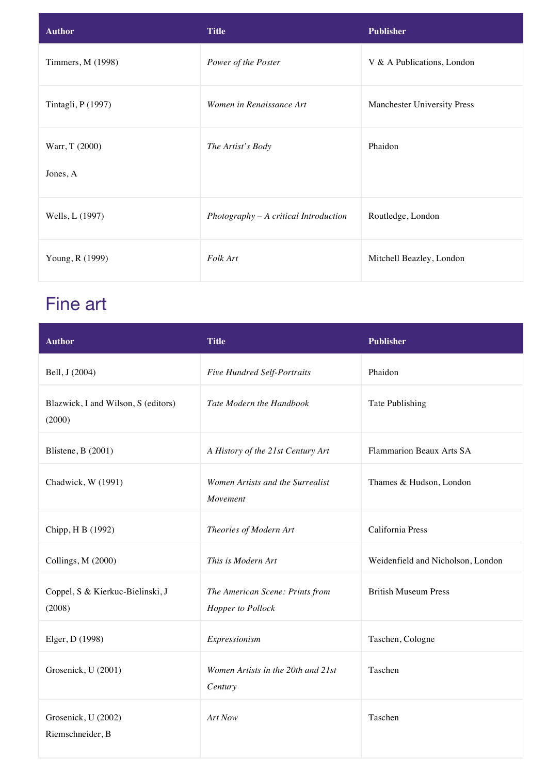| <b>Author</b>              | <b>Title</b>                            | <b>Publisher</b>            |
|----------------------------|-----------------------------------------|-----------------------------|
| Timmers, M (1998)          | Power of the Poster                     | V & A Publications, London  |
| Tintagli, P (1997)         | Women in Renaissance Art                | Manchester University Press |
| Warr, T (2000)<br>Jones, A | The Artist's Body                       | Phaidon                     |
| Wells, L (1997)            | $Photography - A critical Introduction$ | Routledge, London           |
| Young, R (1999)            | Folk Art                                | Mitchell Beazley, London    |

## Fine art

| <b>Author</b>                                 | <b>Title</b>                                         | <b>Publisher</b>                  |
|-----------------------------------------------|------------------------------------------------------|-----------------------------------|
| Bell, J (2004)                                | <b>Five Hundred Self-Portraits</b>                   | Phaidon                           |
| Blazwick, I and Wilson, S (editors)<br>(2000) | Tate Modern the Handbook                             | Tate Publishing                   |
| Blistene, B (2001)                            | A History of the 21st Century Art                    | Flammarion Beaux Arts SA          |
| Chadwick, W (1991)                            | Women Artists and the Surrealist<br>Movement         | Thames & Hudson, London           |
| Chipp, H B (1992)                             | Theories of Modern Art                               | California Press                  |
| Collings, M (2000)                            | This is Modern Art                                   | Weidenfield and Nicholson, London |
| Coppel, S & Kierkuc-Bielinski, J<br>(2008)    | The American Scene: Prints from<br>Hopper to Pollock | <b>British Museum Press</b>       |
| Elger, D (1998)                               | Expressionism                                        | Taschen, Cologne                  |
| Grosenick, U (2001)                           | Women Artists in the 20th and 21st<br>Century        | Taschen                           |
| Grosenick, U (2002)<br>Riemschneider, B       | Art Now                                              | Taschen                           |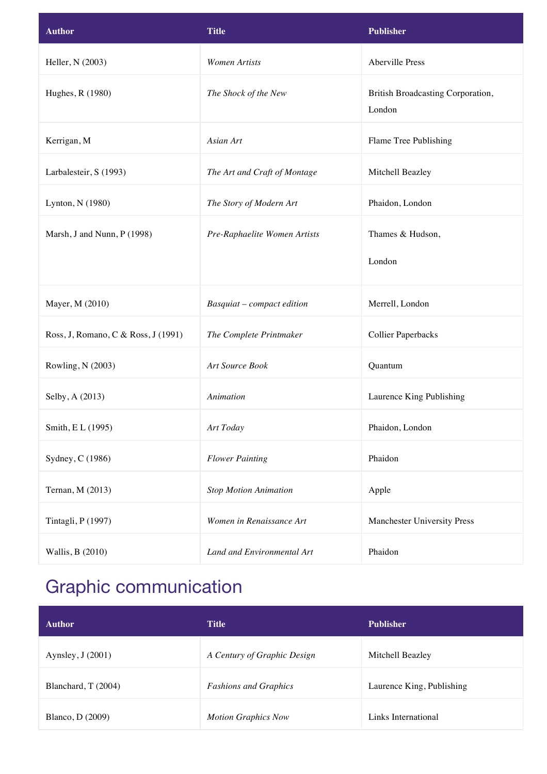| <b>Author</b>                       | <b>Title</b>                 | <b>Publisher</b>                            |
|-------------------------------------|------------------------------|---------------------------------------------|
| Heller, N (2003)                    | <b>Women Artists</b>         | Aberville Press                             |
| Hughes, R (1980)                    | The Shock of the New         | British Broadcasting Corporation,<br>London |
| Kerrigan, M                         | Asian Art                    | Flame Tree Publishing                       |
| Larbalesteir, S (1993)              | The Art and Craft of Montage | Mitchell Beazley                            |
| Lynton, N (1980)                    | The Story of Modern Art      | Phaidon, London                             |
| Marsh, J and Nunn, P (1998)         | Pre-Raphaelite Women Artists | Thames & Hudson,                            |
|                                     |                              | London                                      |
| Mayer, M (2010)                     | Basquiat - compact edition   | Merrell, London                             |
| Ross, J, Romano, C & Ross, J (1991) | The Complete Printmaker      | <b>Collier Paperbacks</b>                   |
| Rowling, N (2003)                   | Art Source Book              | Quantum                                     |
| Selby, A (2013)                     | Animation                    | Laurence King Publishing                    |
| Smith, E L (1995)                   | Art Today                    | Phaidon, London                             |
| Sydney, C (1986)                    | <b>Flower Painting</b>       | Phaidon                                     |
| Ternan, M (2013)                    | <b>Stop Motion Animation</b> | Apple                                       |
| Tintagli, P (1997)                  | Women in Renaissance Art     | Manchester University Press                 |
| Wallis, B (2010)                    | Land and Environmental Art   | Phaidon                                     |

# Graphic communication

| <b>Author</b>            | <b>Title</b>                 | <b>Publisher</b>          |
|--------------------------|------------------------------|---------------------------|
| Aynsley, $J(2001)$       | A Century of Graphic Design  | Mitchell Beazley          |
| Blanchard, T (2004)      | <b>Fashions and Graphics</b> | Laurence King, Publishing |
| <b>Blanco</b> , D (2009) | <b>Motion Graphics Now</b>   | Links International       |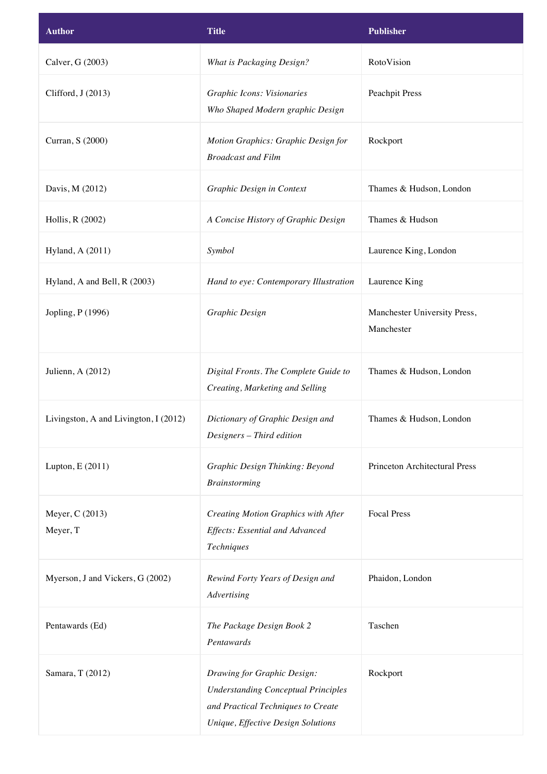| <b>Author</b>                         | Title                                                                                                                                                 | <b>Publisher</b>                           |
|---------------------------------------|-------------------------------------------------------------------------------------------------------------------------------------------------------|--------------------------------------------|
| Calver, G (2003)                      | What is Packaging Design?                                                                                                                             | RotoVision                                 |
| Clifford, J (2013)                    | Graphic Icons: Visionaries<br>Who Shaped Modern graphic Design                                                                                        | <b>Peachpit Press</b>                      |
| Curran, S (2000)                      | Motion Graphics: Graphic Design for<br><b>Broadcast and Film</b>                                                                                      | Rockport                                   |
| Davis, M (2012)                       | Graphic Design in Context                                                                                                                             | Thames & Hudson, London                    |
| Hollis, R (2002)                      | A Concise History of Graphic Design                                                                                                                   | Thames & Hudson                            |
| Hyland, A (2011)                      | Symbol                                                                                                                                                | Laurence King, London                      |
| Hyland, A and Bell, R (2003)          | Hand to eye: Contemporary Illustration                                                                                                                | Laurence King                              |
| Jopling, P (1996)                     | Graphic Design                                                                                                                                        | Manchester University Press,<br>Manchester |
| Julienn, A (2012)                     | Digital Fronts. The Complete Guide to<br>Creating, Marketing and Selling                                                                              | Thames & Hudson, London                    |
| Livingston, A and Livington, I (2012) | Dictionary of Graphic Design and<br>Designers - Third edition                                                                                         | Thames & Hudson, London                    |
| Lupton, E (2011)                      | Graphic Design Thinking: Beyond<br><b>Brainstorming</b>                                                                                               | <b>Princeton Architectural Press</b>       |
| Meyer, C (2013)<br>Meyer, T           | Creating Motion Graphics with After<br>Effects: Essential and Advanced<br>Techniques                                                                  | <b>Focal Press</b>                         |
| Myerson, J and Vickers, G (2002)      | Rewind Forty Years of Design and<br>Advertising                                                                                                       | Phaidon, London                            |
| Pentawards (Ed)                       | The Package Design Book 2<br>Pentawards                                                                                                               | Taschen                                    |
| Samara, T (2012)                      | Drawing for Graphic Design:<br><b>Understanding Conceptual Principles</b><br>and Practical Techniques to Create<br>Unique, Effective Design Solutions | Rockport                                   |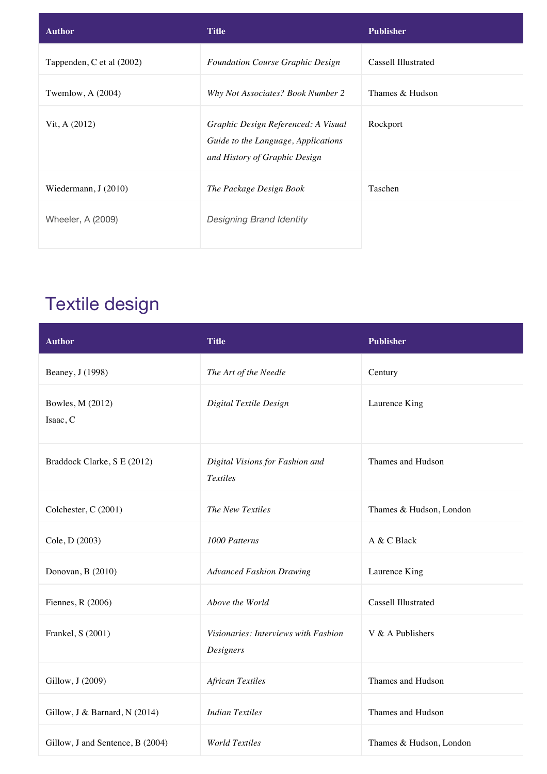| <b>Author</b>             | <b>Title</b>                                                                                                | <b>Publisher</b>    |
|---------------------------|-------------------------------------------------------------------------------------------------------------|---------------------|
| Tappenden, C et al (2002) | <b>Foundation Course Graphic Design</b>                                                                     | Cassell Illustrated |
| Twemlow, $A(2004)$        | Why Not Associates? Book Number 2                                                                           | Thames & Hudson     |
| Vit, A (2012)             | Graphic Design Referenced: A Visual<br>Guide to the Language, Applications<br>and History of Graphic Design | Rockport            |
| Wiedermann, $J(2010)$     | The Package Design Book                                                                                     | Taschen             |
| Wheeler, A (2009)         | <b>Designing Brand Identity</b>                                                                             |                     |

## Textile design

| <b>Author</b>                    | <b>Title</b>                                       | <b>Publisher</b>        |
|----------------------------------|----------------------------------------------------|-------------------------|
| Beaney, J (1998)                 | The Art of the Needle                              | Century                 |
| Bowles, M (2012)<br>Isaac, C     | Digital Textile Design                             | Laurence King           |
| Braddock Clarke, S E (2012)      | Digital Visions for Fashion and<br><b>Textiles</b> | Thames and Hudson       |
| Colchester, C (2001)             | The New Textiles                                   | Thames & Hudson, London |
| Cole, D (2003)                   | 1000 Patterns                                      | A & C Black             |
| Donovan, B (2010)                | <b>Advanced Fashion Drawing</b>                    | Laurence King           |
| Fiennes, R (2006)                | Above the World                                    | Cassell Illustrated     |
| Frankel, S (2001)                | Visionaries: Interviews with Fashion<br>Designers  | V & A Publishers        |
| Gillow, J (2009)                 | <b>African Textiles</b>                            | Thames and Hudson       |
| Gillow, J & Barnard, N (2014)    | <b>Indian Textiles</b>                             | Thames and Hudson       |
| Gillow, J and Sentence, B (2004) | <b>World Textiles</b>                              | Thames & Hudson, London |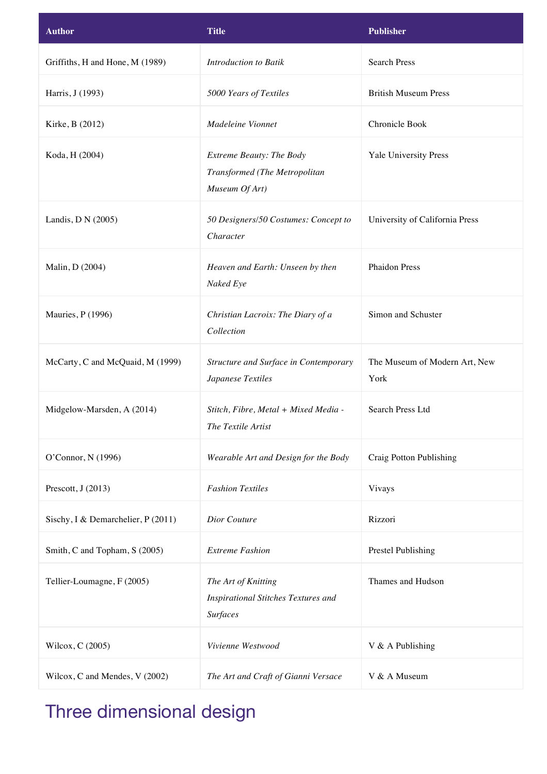| <b>Author</b>                      | <b>Title</b>                                                                         | <b>Publisher</b>                      |
|------------------------------------|--------------------------------------------------------------------------------------|---------------------------------------|
| Griffiths, H and Hone, M (1989)    | Introduction to Batik                                                                | <b>Search Press</b>                   |
| Harris, J (1993)                   | 5000 Years of Textiles                                                               | <b>British Museum Press</b>           |
| Kirke, B (2012)                    | Madeleine Vionnet                                                                    | Chronicle Book                        |
| Koda, H (2004)                     | Extreme Beauty: The Body<br>Transformed (The Metropolitan<br>Museum Of Art)          | Yale University Press                 |
| Landis, D N (2005)                 | 50 Designers/50 Costumes: Concept to<br>Character                                    | University of California Press        |
| Malin, D (2004)                    | Heaven and Earth: Unseen by then<br>Naked Eye                                        | <b>Phaidon Press</b>                  |
| Mauries, P (1996)                  | Christian Lacroix: The Diary of a<br>Collection                                      | Simon and Schuster                    |
| McCarty, C and McQuaid, M (1999)   | Structure and Surface in Contemporary<br>Japanese Textiles                           | The Museum of Modern Art, New<br>York |
| Midgelow-Marsden, A (2014)         | Stitch, Fibre, Metal + Mixed Media -<br>The Textile Artist                           | <b>Search Press Ltd</b>               |
| O'Connor, N (1996)                 | Wearable Art and Design for the Body                                                 | Craig Potton Publishing               |
| Prescott, J (2013)                 | <b>Fashion Textiles</b>                                                              | Vivays                                |
| Sischy, I & Demarchelier, P (2011) | Dior Couture                                                                         | Rizzori                               |
| Smith, C and Topham, S (2005)      | <b>Extreme Fashion</b>                                                               | Prestel Publishing                    |
| Tellier-Loumagne, F (2005)         | The Art of Knitting<br><b>Inspirational Stitches Textures and</b><br><b>Surfaces</b> | Thames and Hudson                     |
| Wilcox, C (2005)                   | Vivienne Westwood                                                                    | V & A Publishing                      |
| Wilcox, C and Mendes, V (2002)     | The Art and Craft of Gianni Versace                                                  | V & A Museum                          |

# Three dimensional design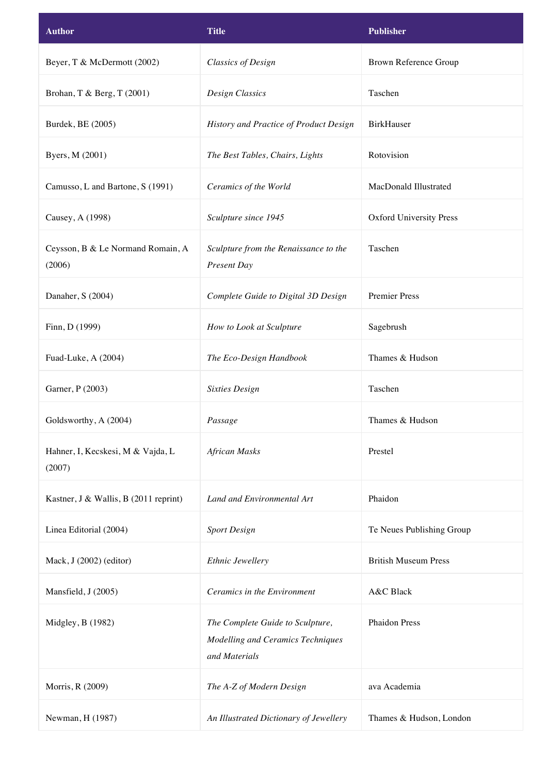| <b>Author</b>                               | <b>Title</b>                                                                           | <b>Publisher</b>               |
|---------------------------------------------|----------------------------------------------------------------------------------------|--------------------------------|
| Beyer, T & McDermott (2002)                 | <b>Classics of Design</b>                                                              | Brown Reference Group          |
| Brohan, T & Berg, T (2001)                  | <b>Design Classics</b>                                                                 | Taschen                        |
| Burdek, BE (2005)                           | History and Practice of Product Design                                                 | <b>BirkHauser</b>              |
| Byers, M (2001)                             | The Best Tables, Chairs, Lights                                                        | Rotovision                     |
| Camusso, L and Bartone, S (1991)            | Ceramics of the World                                                                  | MacDonald Illustrated          |
| Causey, A (1998)                            | Sculpture since 1945                                                                   | <b>Oxford University Press</b> |
| Ceysson, B & Le Normand Romain, A<br>(2006) | Sculpture from the Renaissance to the<br>Present Day                                   | Taschen                        |
| Danaher, S (2004)                           | Complete Guide to Digital 3D Design                                                    | <b>Premier Press</b>           |
| Finn, D (1999)                              | How to Look at Sculpture                                                               | Sagebrush                      |
| Fuad-Luke, A (2004)                         | The Eco-Design Handbook                                                                | Thames & Hudson                |
| Garner, P (2003)                            | <b>Sixties Design</b>                                                                  | Taschen                        |
| Goldsworthy, A (2004)                       | Passage                                                                                | Thames & Hudson                |
| Hahner, I, Kecskesi, M & Vajda, L<br>(2007) | <b>African Masks</b>                                                                   | Prestel                        |
| Kastner, J & Wallis, B (2011 reprint)       | Land and Environmental Art                                                             | Phaidon                        |
| Linea Editorial (2004)                      | <b>Sport Design</b>                                                                    | Te Neues Publishing Group      |
| Mack, J (2002) (editor)                     | Ethnic Jewellery                                                                       | <b>British Museum Press</b>    |
| Mansfield, J (2005)                         | Ceramics in the Environment                                                            | A&C Black                      |
| Midgley, B (1982)                           | The Complete Guide to Sculpture,<br>Modelling and Ceramics Techniques<br>and Materials | <b>Phaidon Press</b>           |
| Morris, R (2009)                            | The A-Z of Modern Design                                                               | ava Academia                   |
| Newman, H (1987)                            | An Illustrated Dictionary of Jewellery                                                 | Thames & Hudson, London        |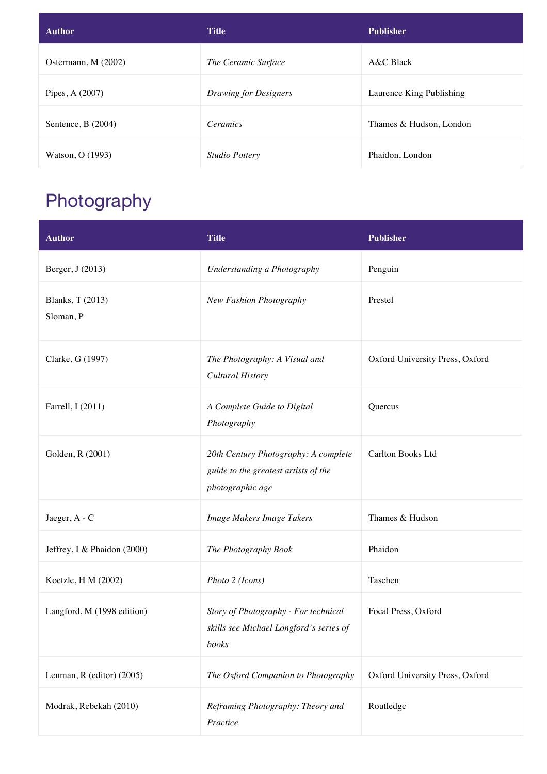| <b>Author</b>       | <b>Title</b>                 | <b>Publisher</b>         |
|---------------------|------------------------------|--------------------------|
| Ostermann, M (2002) | The Ceramic Surface          | $A&C$ Black              |
| Pipes, A (2007)     | <b>Drawing for Designers</b> | Laurence King Publishing |
| Sentence, $B(2004)$ | <i>Ceramics</i>              | Thames & Hudson, London  |
| Watson, O (1993)    | Studio Pottery               | Phaidon, London          |

## Photography

| <b>Author</b>                 | <b>Title</b>                                                                                     | <b>Publisher</b>                |
|-------------------------------|--------------------------------------------------------------------------------------------------|---------------------------------|
| Berger, J (2013)              | Understanding a Photography                                                                      | Penguin                         |
| Blanks, T (2013)<br>Sloman, P | New Fashion Photography                                                                          | Prestel                         |
| Clarke, G (1997)              | The Photography: A Visual and<br><b>Cultural History</b>                                         | Oxford University Press, Oxford |
| Farrell, I (2011)             | A Complete Guide to Digital<br>Photography                                                       | Quercus                         |
| Golden, R (2001)              | 20th Century Photography: A complete<br>guide to the greatest artists of the<br>photographic age | Carlton Books Ltd               |
| Jaeger, A - C                 | Image Makers Image Takers                                                                        | Thames & Hudson                 |
| Jeffrey, I & Phaidon (2000)   | The Photography Book                                                                             | Phaidon                         |
| Koetzle, H M (2002)           | Photo 2 (Icons)                                                                                  | Taschen                         |
| Langford, M (1998 edition)    | Story of Photography - For technical<br>skills see Michael Longford's series of<br>books         | Focal Press, Oxford             |
| Lenman, R (editor) (2005)     | The Oxford Companion to Photography                                                              | Oxford University Press, Oxford |
| Modrak, Rebekah (2010)        | Reframing Photography: Theory and<br>Practice                                                    | Routledge                       |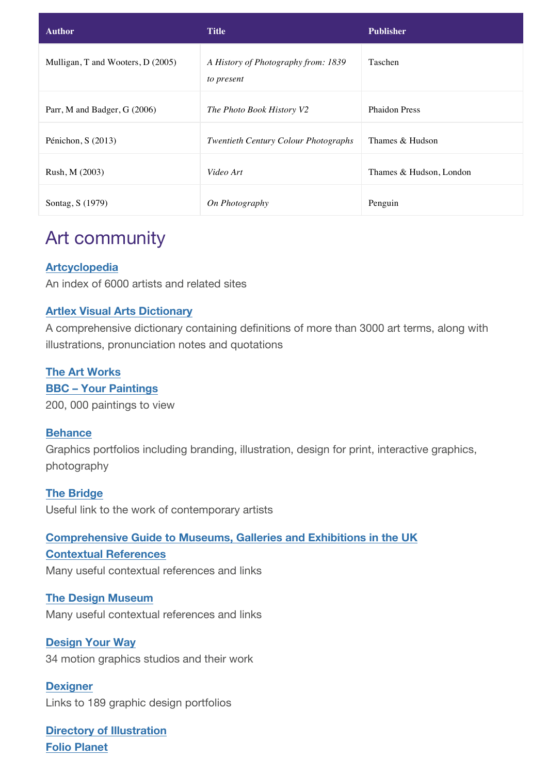| <b>Author</b>                     | <b>Title</b>                                      | <b>Publisher</b>        |
|-----------------------------------|---------------------------------------------------|-------------------------|
| Mulligan, T and Wooters, D (2005) | A History of Photography from: 1839<br>to present | Taschen                 |
| Parr, M and Badger, G (2006)      | The Photo Book History V2                         | <b>Phaidon Press</b>    |
| Pénichon, S $(2013)$              | <b>Twentieth Century Colour Photographs</b>       | Thames & Hudson         |
| Rush, M (2003)                    | Video Art                                         | Thames & Hudson, London |
| Sontag, S (1979)                  | On Photography                                    | Penguin                 |

### Art community

### **Artcyclopedia**

An index of 6000 artists and related sites

### **Artlex Visual Arts Dictionary**

A comprehensive dictionary containing definitions of more than 3000 art terms, along with illustrations, pronunciation notes and quotations

#### **The Art Works**

**BBC – Your Paintings** 200, 000 paintings to view

#### **Behance**

Graphics portfolios including branding, illustration, design for print, interactive graphics, photography

**The Bridge** Useful link to the work of contemporary artists

### **Comprehensive Guide to Museums, Galleries and Exhibitions in the UK**

### **Contextual References**

Many useful contextual references and links

**The Design Museum** Many useful contextual references and links

**Design Your Way** 34 motion graphics studios and their work

**Dexigner** Links to 189 graphic design portfolios

**Directory of Illustration Folio Planet**